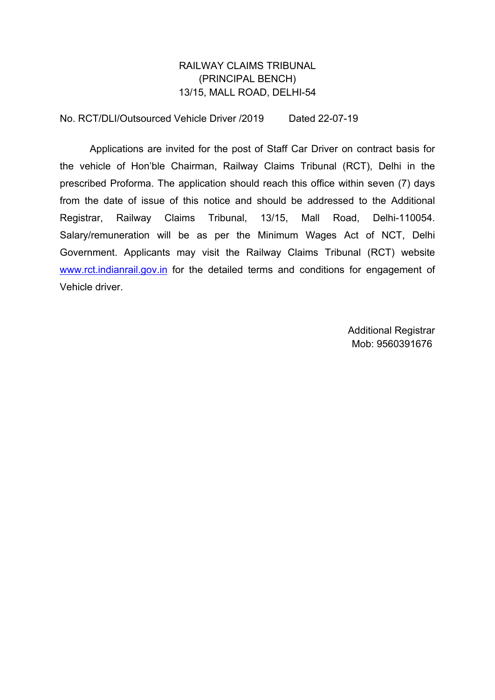## RAILWAY CLAIMS TRIBUNAL (PRINCIPAL BENCH) 13/15, MALL ROAD, DELHI-54

No. RCT/DLI/Outsourced Vehicle Driver /2019 Dated 22-07-19

Applications are invited for the post of Staff Car Driver on contract basis for the vehicle of Hon'ble Chairman, Railway Claims Tribunal (RCT), Delhi in the prescribed Proforma. The application should reach this office within seven (7) days from the date of issue of this notice and should be addressed to the Additional Registrar, Railway Claims Tribunal, 13/15, Mall Road, Delhi-110054. Salary/remuneration will be as per the Minimum Wages Act of NCT, Delhi Government. Applicants may visit the Railway Claims Tribunal (RCT) website [www.rct.indianrail.gov.in](http://www.rct.indianrail.gov.in) for the detailed terms and conditions for engagement of Vehicle driver.

> Additional Registrar Mob: 9560391676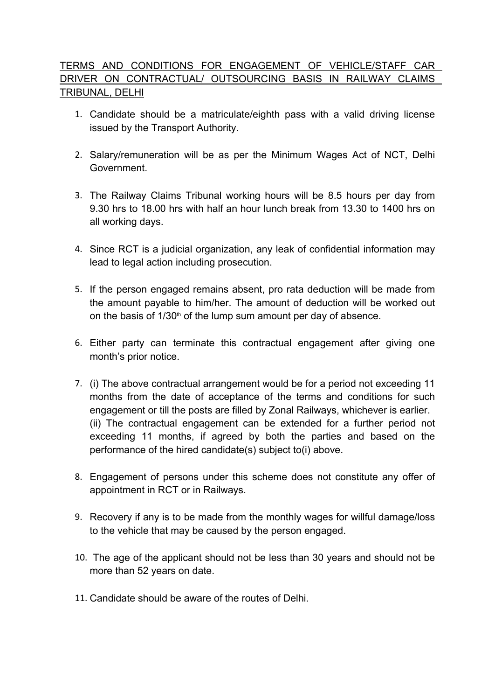## TERMS AND CONDITIONS FOR ENGAGEMENT OF VEHICLE/STAFF CAR DRIVER ON CONTRACTUAL/OUTSOURCING BASIS IN RAILWAY CLAIMS TRIBUNAL, DELHI

- 1. Candidate should be a matriculate/eighth pass with a valid driving license issued by the Transport Authority.
- 2. Salary/remuneration will be as per the Minimum Wages Act of NCT, Delhi Government.
- 3. The Railway Claims Tribunal working hours will be 8.5 hours per day from 9.30 hrs to 18.00 hrs with half an hour lunch break from 13.30 to 1400 hrs on all working days.
- 4. Since RCT is a judicial organization, any leak of confidential information may lead to legal action including prosecution.
- 5. If the person engaged remains absent, pro rata deduction will be made from the amount payable to him/her. The amount of deduction will be worked out on the basis of  $1/30<sup>th</sup>$  of the lump sum amount per day of absence.
- 6. Either party can terminate this contractual engagement after giving one month's prior notice.
- 7. (i) The above contractual arrangement would be for a period not exceeding 11 months from the date of acceptance of the terms and conditions for such engagement or till the posts are filled by Zonal Railways, whichever is earlier. (ii) The contractual engagement can be extended for a further period not exceeding 11 months, if agreed by both the parties and based on the performance of the hired candidate(s) subject to(i) above.
- 8. Engagement of persons under this scheme does not constitute any offer of appointment in RCT or in Railways.
- 9. Recovery if any is to be made from the monthly wages for willful damage/loss to the vehicle that may be caused by the person engaged.
- 10. The age of the applicant should not be less than 30 years and should not be more than 52 years on date.
- 11. Candidate should be aware of the routes of Delhi.